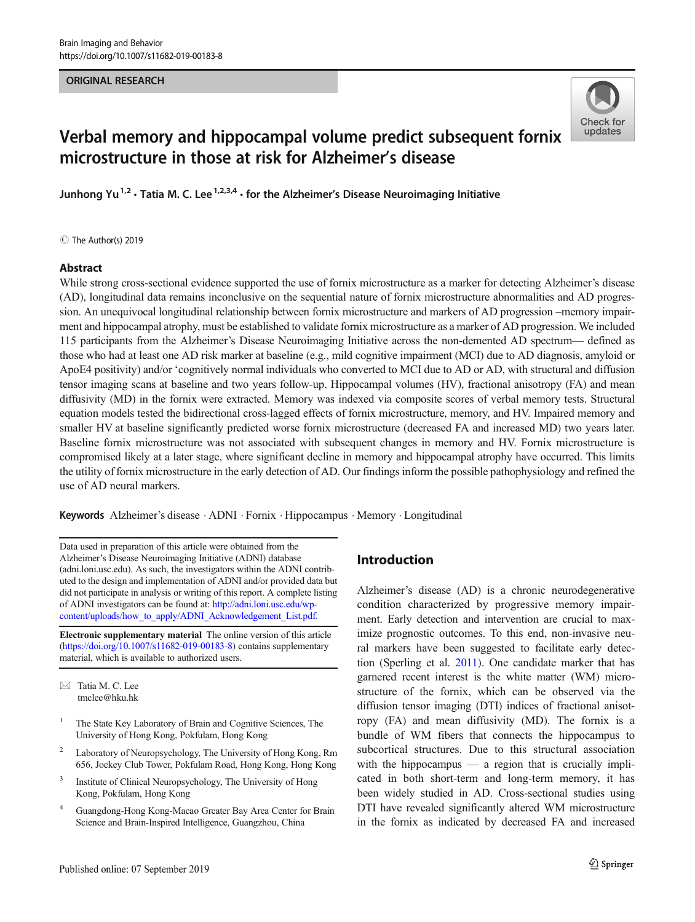# ORIGINAL RESEARCH



# Verbal memory and hippocampal volume predict subsequent fornix microstructure in those at risk for Alzheimer's disease

Junhong Yu<sup>1,2</sup> • Tatia M. C. Lee  $1,2,3,4$  • for the Alzheimer's Disease Neuroimaging Initiative

C The Author(s) 2019

#### Abstract

While strong cross-sectional evidence supported the use of fornix microstructure as a marker for detecting Alzheimer's disease (AD), longitudinal data remains inconclusive on the sequential nature of fornix microstructure abnormalities and AD progression. An unequivocal longitudinal relationship between fornix microstructure and markers of AD progression –memory impairment and hippocampal atrophy, must be established to validate fornix microstructure as a marker of AD progression. We included 115 participants from the Alzheimer's Disease Neuroimaging Initiative across the non-demented AD spectrum— defined as those who had at least one AD risk marker at baseline (e.g., mild cognitive impairment (MCI) due to AD diagnosis, amyloid or ApoE4 positivity) and/or 'cognitively normal individuals who converted to MCI due to AD or AD, with structural and diffusion tensor imaging scans at baseline and two years follow-up. Hippocampal volumes (HV), fractional anisotropy (FA) and mean diffusivity (MD) in the fornix were extracted. Memory was indexed via composite scores of verbal memory tests. Structural equation models tested the bidirectional cross-lagged effects of fornix microstructure, memory, and HV. Impaired memory and smaller HV at baseline significantly predicted worse fornix microstructure (decreased FA and increased MD) two years later. Baseline fornix microstructure was not associated with subsequent changes in memory and HV. Fornix microstructure is compromised likely at a later stage, where significant decline in memory and hippocampal atrophy have occurred. This limits the utility of fornix microstructure in the early detection of AD. Our findings inform the possible pathophysiology and refined the use of AD neural markers.

Keywords Alzheimer's disease . ADNI . Fornix . Hippocampus . Memory . Longitudinal

Data used in preparation of this article were obtained from the Alzheimer's Disease Neuroimaging Initiative (ADNI) database (adni.loni.usc.edu). As such, the investigators within the ADNI contributed to the design and implementation of ADNI and/or provided data but did not participate in analysis or writing of this report. A complete listing of ADNI investigators can be found at: [http://adni.loni.usc.edu/wp](http://adni.loni.usc.edu/wp-content/uploads/how_to_apply/ADNI_Acknowledgement_List.pdf)[content/uploads/how\\_to\\_apply/ADNI\\_Acknowledgement\\_List.pdf.](http://adni.loni.usc.edu/wp-content/uploads/how_to_apply/ADNI_Acknowledgement_List.pdf)

Electronic supplementary material The online version of this article (<https://doi.org/10.1007/s11682-019-00183-8>) contains supplementary material, which is available to authorized users.

 $\boxtimes$  Tatia M. C. Lee [tmclee@hku.hk](mailto:tmclee@hku.hk)

- <sup>1</sup> The State Key Laboratory of Brain and Cognitive Sciences, The University of Hong Kong, Pokfulam, Hong Kong
- <sup>2</sup> Laboratory of Neuropsychology, The University of Hong Kong, Rm 656, Jockey Club Tower, Pokfulam Road, Hong Kong, Hong Kong
- <sup>3</sup> Institute of Clinical Neuropsychology, The University of Hong Kong, Pokfulam, Hong Kong
- <sup>4</sup> Guangdong-Hong Kong-Macao Greater Bay Area Center for Brain Science and Brain-Inspired Intelligence, Guangzhou, China

# Introduction

Alzheimer's disease (AD) is a chronic neurodegenerative condition characterized by progressive memory impairment. Early detection and intervention are crucial to maximize prognostic outcomes. To this end, non-invasive neural markers have been suggested to facilitate early detection (Sperling et al. [2011](#page-10-0)). One candidate marker that has garnered recent interest is the white matter (WM) microstructure of the fornix, which can be observed via the diffusion tensor imaging (DTI) indices of fractional anisotropy (FA) and mean diffusivity (MD). The fornix is a bundle of WM fibers that connects the hippocampus to subcortical structures. Due to this structural association with the hippocampus — a region that is crucially implicated in both short-term and long-term memory, it has been widely studied in AD. Cross-sectional studies using DTI have revealed significantly altered WM microstructure in the fornix as indicated by decreased FA and increased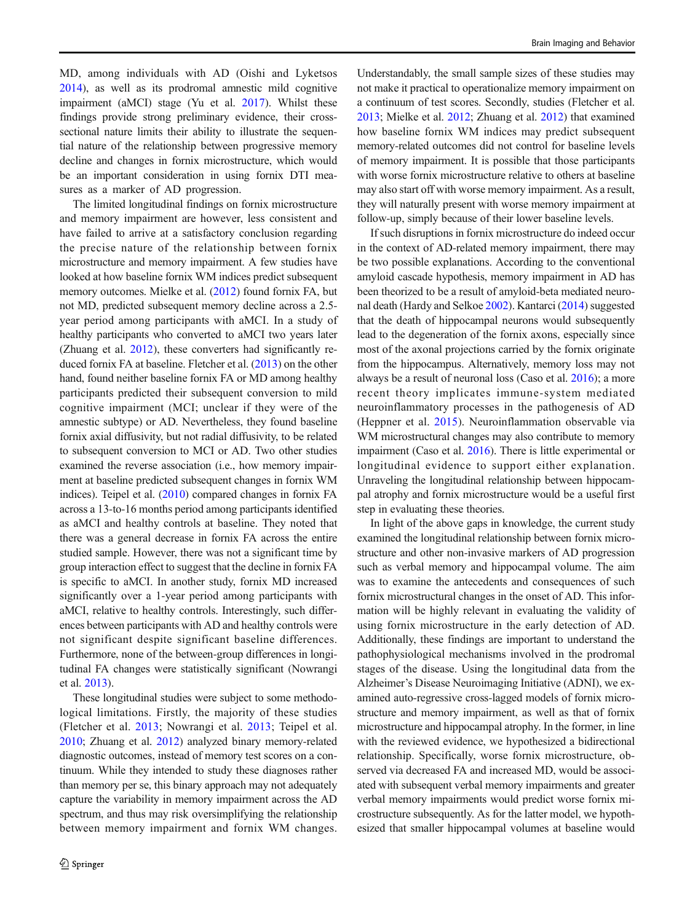MD, among individuals with AD (Oishi and Lyketsos [2014\)](#page-10-0), as well as its prodromal amnestic mild cognitive impairment (aMCI) stage (Yu et al. [2017](#page-11-0)). Whilst these findings provide strong preliminary evidence, their crosssectional nature limits their ability to illustrate the sequential nature of the relationship between progressive memory decline and changes in fornix microstructure, which would be an important consideration in using fornix DTI measures as a marker of AD progression.

The limited longitudinal findings on fornix microstructure and memory impairment are however, less consistent and have failed to arrive at a satisfactory conclusion regarding the precise nature of the relationship between fornix microstructure and memory impairment. A few studies have looked at how baseline fornix WM indices predict subsequent memory outcomes. Mielke et al. ([2012\)](#page-10-0) found fornix FA, but not MD, predicted subsequent memory decline across a 2.5 year period among participants with aMCI. In a study of healthy participants who converted to aMCI two years later (Zhuang et al. [2012](#page-11-0)), these converters had significantly reduced fornix FA at baseline. Fletcher et al. [\(2013](#page-10-0)) on the other hand, found neither baseline fornix FA or MD among healthy participants predicted their subsequent conversion to mild cognitive impairment (MCI; unclear if they were of the amnestic subtype) or AD. Nevertheless, they found baseline fornix axial diffusivity, but not radial diffusivity, to be related to subsequent conversion to MCI or AD. Two other studies examined the reverse association (i.e., how memory impairment at baseline predicted subsequent changes in fornix WM indices). Teipel et al. [\(2010\)](#page-10-0) compared changes in fornix FA across a 13-to-16 months period among participants identified as aMCI and healthy controls at baseline. They noted that there was a general decrease in fornix FA across the entire studied sample. However, there was not a significant time by group interaction effect to suggest that the decline in fornix FA is specific to aMCI. In another study, fornix MD increased significantly over a 1-year period among participants with aMCI, relative to healthy controls. Interestingly, such differences between participants with AD and healthy controls were not significant despite significant baseline differences. Furthermore, none of the between-group differences in longitudinal FA changes were statistically significant (Nowrangi et al. [2013](#page-10-0)).

These longitudinal studies were subject to some methodological limitations. Firstly, the majority of these studies (Fletcher et al. [2013](#page-10-0); Nowrangi et al. [2013;](#page-10-0) Teipel et al. [2010;](#page-10-0) Zhuang et al. [2012\)](#page-11-0) analyzed binary memory-related diagnostic outcomes, instead of memory test scores on a continuum. While they intended to study these diagnoses rather than memory per se, this binary approach may not adequately capture the variability in memory impairment across the AD spectrum, and thus may risk oversimplifying the relationship between memory impairment and fornix WM changes.

Understandably, the small sample sizes of these studies may not make it practical to operationalize memory impairment on a continuum of test scores. Secondly, studies (Fletcher et al. [2013;](#page-10-0) Mielke et al. [2012](#page-10-0); Zhuang et al. [2012](#page-11-0)) that examined how baseline fornix WM indices may predict subsequent memory-related outcomes did not control for baseline levels of memory impairment. It is possible that those participants with worse fornix microstructure relative to others at baseline may also start off with worse memory impairment. As a result, they will naturally present with worse memory impairment at follow-up, simply because of their lower baseline levels.

If such disruptions in fornix microstructure do indeed occur in the context of AD-related memory impairment, there may be two possible explanations. According to the conventional amyloid cascade hypothesis, memory impairment in AD has been theorized to be a result of amyloid-beta mediated neuronal death (Hardy and Selkoe [2002\)](#page-10-0). Kantarci [\(2014\)](#page-10-0) suggested that the death of hippocampal neurons would subsequently lead to the degeneration of the fornix axons, especially since most of the axonal projections carried by the fornix originate from the hippocampus. Alternatively, memory loss may not always be a result of neuronal loss (Caso et al. [2016](#page-10-0)); a more recent theory implicates immune-system mediated neuroinflammatory processes in the pathogenesis of AD (Heppner et al. [2015\)](#page-10-0). Neuroinflammation observable via WM microstructural changes may also contribute to memory impairment (Caso et al. [2016](#page-10-0)). There is little experimental or longitudinal evidence to support either explanation. Unraveling the longitudinal relationship between hippocampal atrophy and fornix microstructure would be a useful first step in evaluating these theories.

In light of the above gaps in knowledge, the current study examined the longitudinal relationship between fornix microstructure and other non-invasive markers of AD progression such as verbal memory and hippocampal volume. The aim was to examine the antecedents and consequences of such fornix microstructural changes in the onset of AD. This information will be highly relevant in evaluating the validity of using fornix microstructure in the early detection of AD. Additionally, these findings are important to understand the pathophysiological mechanisms involved in the prodromal stages of the disease. Using the longitudinal data from the Alzheimer's Disease Neuroimaging Initiative (ADNI), we examined auto-regressive cross-lagged models of fornix microstructure and memory impairment, as well as that of fornix microstructure and hippocampal atrophy. In the former, in line with the reviewed evidence, we hypothesized a bidirectional relationship. Specifically, worse fornix microstructure, observed via decreased FA and increased MD, would be associated with subsequent verbal memory impairments and greater verbal memory impairments would predict worse fornix microstructure subsequently. As for the latter model, we hypothesized that smaller hippocampal volumes at baseline would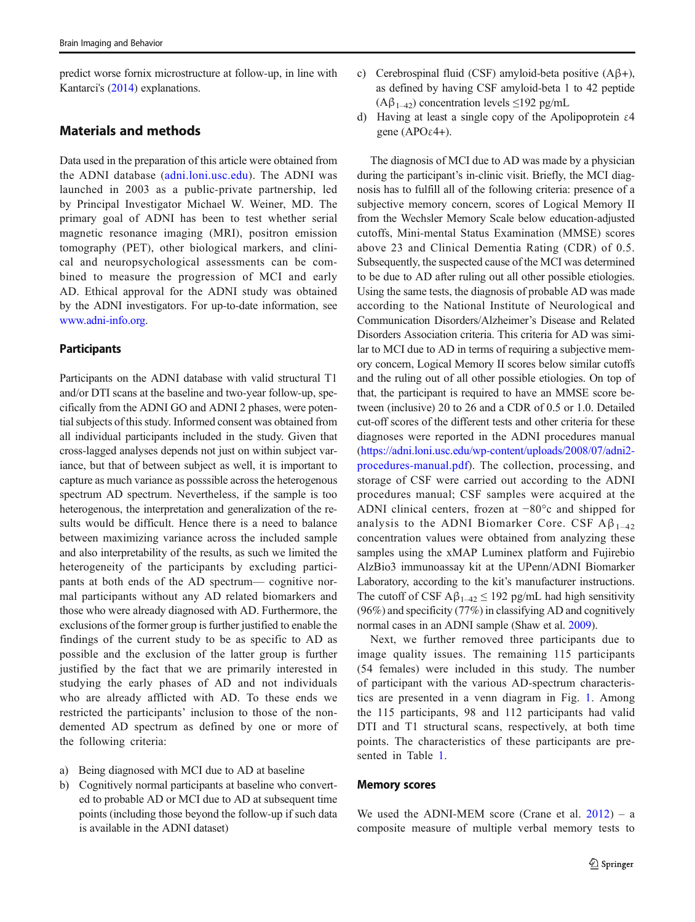predict worse fornix microstructure at follow-up, in line with Kantarci's [\(2014\)](#page-10-0) explanations.

## Materials and methods

Data used in the preparation of this article were obtained from the ADNI database ([adni.loni.usc.edu\)](http://adni.loni.usc.edu). The ADNI was launched in 2003 as a public-private partnership, led by Principal Investigator Michael W. Weiner, MD. The primary goal of ADNI has been to test whether serial magnetic resonance imaging (MRI), positron emission tomography (PET), other biological markers, and clinical and neuropsychological assessments can be combined to measure the progression of MCI and early AD. Ethical approval for the ADNI study was obtained by the ADNI investigators. For up-to-date information, see [www.adni-info.org](http://www.adni-info.org).

## **Participants**

Participants on the ADNI database with valid structural T1 and/or DTI scans at the baseline and two-year follow-up, specifically from the ADNI GO and ADNI 2 phases, were potential subjects of this study. Informed consent was obtained from all individual participants included in the study. Given that cross-lagged analyses depends not just on within subject variance, but that of between subject as well, it is important to capture as much variance as posssible across the heterogenous spectrum AD spectrum. Nevertheless, if the sample is too heterogenous, the interpretation and generalization of the results would be difficult. Hence there is a need to balance between maximizing variance across the included sample and also interpretability of the results, as such we limited the heterogeneity of the participants by excluding participants at both ends of the AD spectrum— cognitive normal participants without any AD related biomarkers and those who were already diagnosed with AD. Furthermore, the exclusions of the former group is further justified to enable the findings of the current study to be as specific to AD as possible and the exclusion of the latter group is further justified by the fact that we are primarily interested in studying the early phases of AD and not individuals who are already afflicted with AD. To these ends we restricted the participants' inclusion to those of the nondemented AD spectrum as defined by one or more of the following criteria:

- a) Being diagnosed with MCI due to AD at baseline
- b) Cognitively normal participants at baseline who converted to probable AD or MCI due to AD at subsequent time points (including those beyond the follow-up if such data is available in the ADNI dataset)
- c) Cerebrospinal fluid (CSF) amyloid-beta positive (Aβ+), as defined by having CSF amyloid-beta 1 to 42 peptide  $(A\beta_{1-42})$  concentration levels  $\leq$ 192 pg/mL
- d) Having at least a single copy of the Apolipoprotein ε4 gene (APOε4+).

The diagnosis of MCI due to AD was made by a physician during the participant's in-clinic visit. Briefly, the MCI diagnosis has to fulfill all of the following criteria: presence of a subjective memory concern, scores of Logical Memory II from the Wechsler Memory Scale below education-adjusted cutoffs, Mini-mental Status Examination (MMSE) scores above 23 and Clinical Dementia Rating (CDR) of 0.5. Subsequently, the suspected cause of the MCI was determined to be due to AD after ruling out all other possible etiologies. Using the same tests, the diagnosis of probable AD was made according to the National Institute of Neurological and Communication Disorders/Alzheimer's Disease and Related Disorders Association criteria. This criteria for AD was similar to MCI due to AD in terms of requiring a subjective memory concern, Logical Memory II scores below similar cutoffs and the ruling out of all other possible etiologies. On top of that, the participant is required to have an MMSE score between (inclusive) 20 to 26 and a CDR of 0.5 or 1.0. Detailed cut-off scores of the different tests and other criteria for these diagnoses were reported in the ADNI procedures manual [\(https://adni.loni.usc.edu/wp-content/uploads/2008/07/adni2](https://adni.loni.usc.edu/wp-content/uploads/2008/07/adni2-procedures-manual.pdf) [procedures-manual.pdf](https://adni.loni.usc.edu/wp-content/uploads/2008/07/adni2-procedures-manual.pdf)). The collection, processing, and storage of CSF were carried out according to the ADNI procedures manual; CSF samples were acquired at the ADNI clinical centers, frozen at −80°c and shipped for analysis to the ADNI Biomarker Core. CSF  $A\beta_{1-42}$ concentration values were obtained from analyzing these samples using the xMAP Luminex platform and Fujirebio AlzBio3 immunoassay kit at the UPenn/ADNI Biomarker Laboratory, according to the kit's manufacturer instructions. The cutoff of CSF  $A\beta_{1-42} \le 192$  pg/mL had high sensitivity (96%) and specificity (77%) in classifying AD and cognitively normal cases in an ADNI sample (Shaw et al. [2009\)](#page-10-0).

Next, we further removed three participants due to image quality issues. The remaining 115 participants (54 females) were included in this study. The number of participant with the various AD-spectrum characteristics are presented in a venn diagram in Fig. [1.](#page-3-0) Among the 115 participants, 98 and 112 participants had valid DTI and T1 structural scans, respectively, at both time points. The characteristics of these participants are presented in Table [1.](#page-3-0)

#### Memory scores

We used the ADNI-MEM score (Crane et al.  $2012$ ) – a composite measure of multiple verbal memory tests to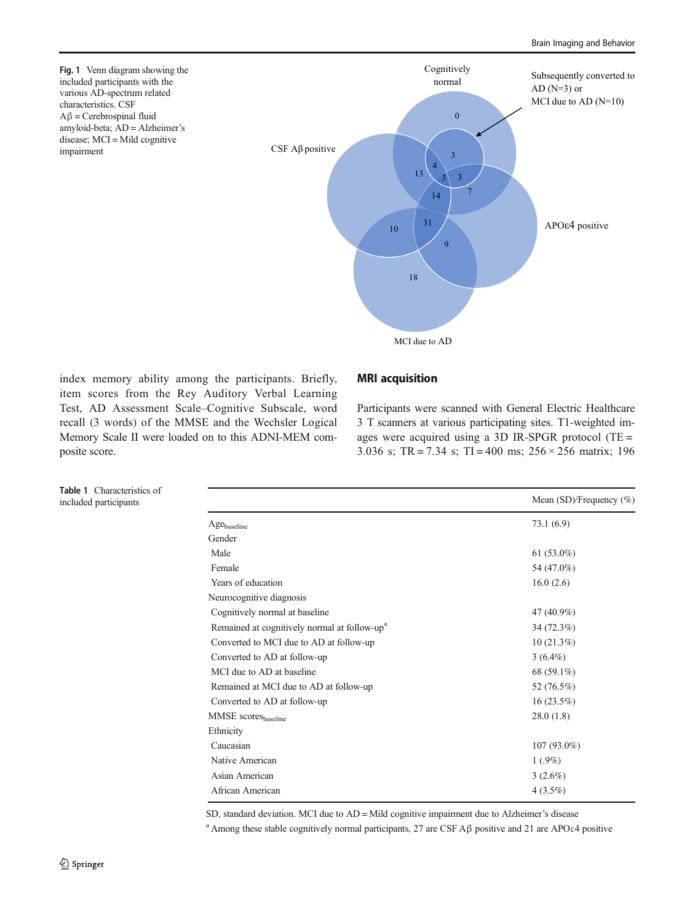<span id="page-3-0"></span>

index memory ability among the participants. Briefly, item scores from the Rey Auditory Verbal Learning Test, AD Assessment Scale–Cognitive Subscale, word recall (3 words) of the MMSE and the Wechsler Logical Memory Scale II were loaded on to this ADNI-MEM composite score.

#### MRI acquisition

Participants were scanned with General Electric Healthcare 3 T scanners at various participating sites. T1-weighted images were acquired using a 3D IR-SPGR protocol (TE = 3.036 s; TR = 7.34 s; TI = 400 ms;  $256 \times 256$  matrix; 196

|                                                          | Mean (SD)/Frequency (%) |
|----------------------------------------------------------|-------------------------|
| Age <sub>baseline</sub>                                  | 73.1(6.9)               |
| Gender                                                   |                         |
| Male                                                     | 61 $(53.0\%)$           |
| Female                                                   | 54 (47.0%)              |
| Years of education                                       | 16.0(2.6)               |
| Neurocognitive diagnosis                                 |                         |
| Cognitively normal at baseline                           | 47 (40.9%)              |
| Remained at cognitively normal at follow-up <sup>a</sup> | 34 (72.3%)              |
| Converted to MCI due to AD at follow-up                  | $10(21.3\%)$            |
| Converted to AD at follow-up                             | $3(6.4\%)$              |
| MCI due to AD at baseline                                | 68 $(59.1\%)$           |
| Remained at MCI due to AD at follow-up                   | 52 (76.5%)              |
| Converted to AD at follow-up                             | $16(23.5\%)$            |
| MMSE scores <sub>baseline</sub>                          | 28.0(1.8)               |
| Ethnicity                                                |                         |
| Caucasian                                                | $107(93.0\%)$           |
| Native American                                          | $1(.9\%)$               |
| Asian American                                           | $3(2.6\%)$              |
| African American                                         | $4(3.5\%)$              |

SD, standard deviation. MCI due to AD = Mild cognitive impairment due to Alzheimer's disease

<sup>a</sup> Among these stable cognitively normal participants, 27 are CSF Aβ positive and 21 are APOε4 positive

Table 1 Characteristics of included participants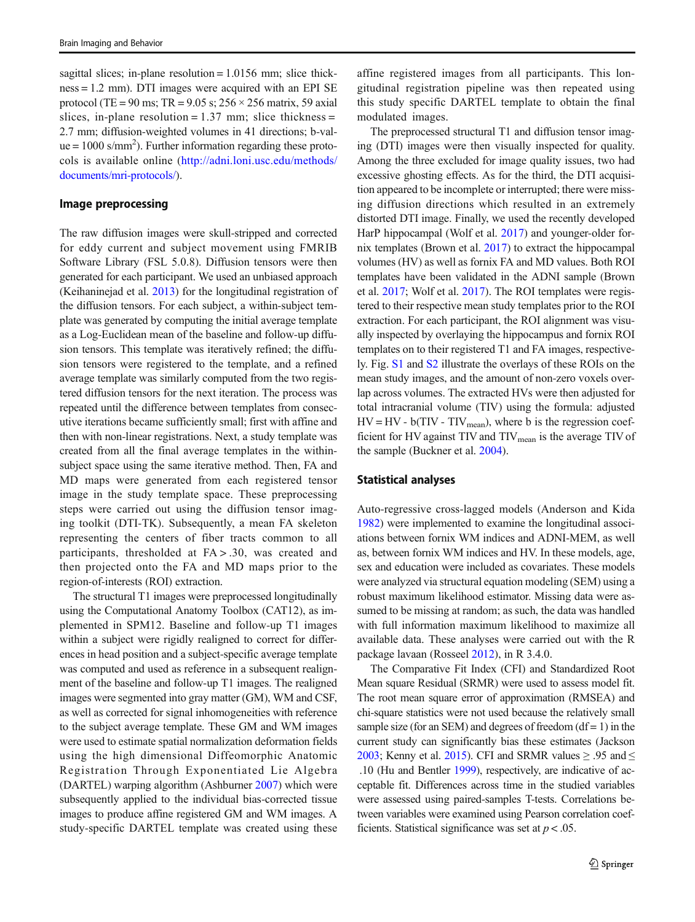sagittal slices; in-plane resolution  $= 1.0156$  mm; slice thickness = 1.2 mm). DTI images were acquired with an EPI SE protocol (TE = 90 ms; TR =  $9.05$  s;  $256 \times 256$  matrix, 59 axial slices, in-plane resolution =  $1.37$  mm; slice thickness = 2.7 mm; diffusion-weighted volumes in 41 directions; b-val $ue = 1000$  s/mm<sup>2</sup>). Further information regarding these protocols is available online [\(http://adni.loni.usc.edu/methods/](http://adni.loni.usc.edu/methods/documents/mri-protocols/) [documents/mri-protocols/\)](http://adni.loni.usc.edu/methods/documents/mri-protocols/).

#### Image preprocessing

The raw diffusion images were skull-stripped and corrected for eddy current and subject movement using FMRIB Software Library (FSL 5.0.8). Diffusion tensors were then generated for each participant. We used an unbiased approach (Keihaninejad et al. [2013](#page-10-0)) for the longitudinal registration of the diffusion tensors. For each subject, a within-subject template was generated by computing the initial average template as a Log-Euclidean mean of the baseline and follow-up diffusion tensors. This template was iteratively refined; the diffusion tensors were registered to the template, and a refined average template was similarly computed from the two registered diffusion tensors for the next iteration. The process was repeated until the difference between templates from consecutive iterations became sufficiently small; first with affine and then with non-linear registrations. Next, a study template was created from all the final average templates in the withinsubject space using the same iterative method. Then, FA and MD maps were generated from each registered tensor image in the study template space. These preprocessing steps were carried out using the diffusion tensor imaging toolkit (DTI-TK). Subsequently, a mean FA skeleton representing the centers of fiber tracts common to all participants, thresholded at FA > .30, was created and then projected onto the FA and MD maps prior to the region-of-interests (ROI) extraction.

The structural T1 images were preprocessed longitudinally using the Computational Anatomy Toolbox (CAT12), as implemented in SPM12. Baseline and follow-up T1 images within a subject were rigidly realigned to correct for differences in head position and a subject-specific average template was computed and used as reference in a subsequent realignment of the baseline and follow-up T1 images. The realigned images were segmented into gray matter (GM), WM and CSF, as well as corrected for signal inhomogeneities with reference to the subject average template. These GM and WM images were used to estimate spatial normalization deformation fields using the high dimensional Diffeomorphic Anatomic Registration Through Exponentiated Lie Algebra (DARTEL) warping algorithm (Ashburner [2007](#page-10-0)) which were subsequently applied to the individual bias-corrected tissue images to produce affine registered GM and WM images. A study-specific DARTEL template was created using these

affine registered images from all participants. This longitudinal registration pipeline was then repeated using this study specific DARTEL template to obtain the final modulated images.

The preprocessed structural T1 and diffusion tensor imaging (DTI) images were then visually inspected for quality. Among the three excluded for image quality issues, two had excessive ghosting effects. As for the third, the DTI acquisition appeared to be incomplete or interrupted; there were missing diffusion directions which resulted in an extremely distorted DTI image. Finally, we used the recently developed HarP hippocampal (Wolf et al. [2017](#page-11-0)) and younger-older fornix templates (Brown et al. [2017\)](#page-10-0) to extract the hippocampal volumes (HV) as well as fornix FA and MD values. Both ROI templates have been validated in the ADNI sample (Brown et al. [2017](#page-10-0); Wolf et al. [2017\)](#page-11-0). The ROI templates were registered to their respective mean study templates prior to the ROI extraction. For each participant, the ROI alignment was visually inspected by overlaying the hippocampus and fornix ROI templates on to their registered T1 and FA images, respectively. Fig. S1 and S2 illustrate the overlays of these ROIs on the mean study images, and the amount of non-zero voxels overlap across volumes. The extracted HVs were then adjusted for total intracranial volume (TIV) using the formula: adjusted  $HV = HV - b(TIV - TIV_{mean})$ , where b is the regression coefficient for HV against TIV and TIV<sub>mean</sub> is the average TIV of the sample (Buckner et al. [2004](#page-10-0)).

#### Statistical analyses

Auto-regressive cross-lagged models (Anderson and Kida [1982\)](#page-10-0) were implemented to examine the longitudinal associations between fornix WM indices and ADNI-MEM, as well as, between fornix WM indices and HV. In these models, age, sex and education were included as covariates. These models were analyzed via structural equation modeling (SEM) using a robust maximum likelihood estimator. Missing data were assumed to be missing at random; as such, the data was handled with full information maximum likelihood to maximize all available data. These analyses were carried out with the R package lavaan (Rosseel [2012\)](#page-10-0), in R 3.4.0.

The Comparative Fit Index (CFI) and Standardized Root Mean square Residual (SRMR) were used to assess model fit. The root mean square error of approximation (RMSEA) and chi-square statistics were not used because the relatively small sample size (for an SEM) and degrees of freedom  $(df = 1)$  in the current study can significantly bias these estimates (Jackson [2003](#page-10-0); Kenny et al. [2015](#page-10-0)). CFI and SRMR values  $\geq .95$  and  $\leq$ .10 (Hu and Bentler [1999](#page-10-0)), respectively, are indicative of acceptable fit. Differences across time in the studied variables were assessed using paired-samples T-tests. Correlations between variables were examined using Pearson correlation coefficients. Statistical significance was set at  $p < .05$ .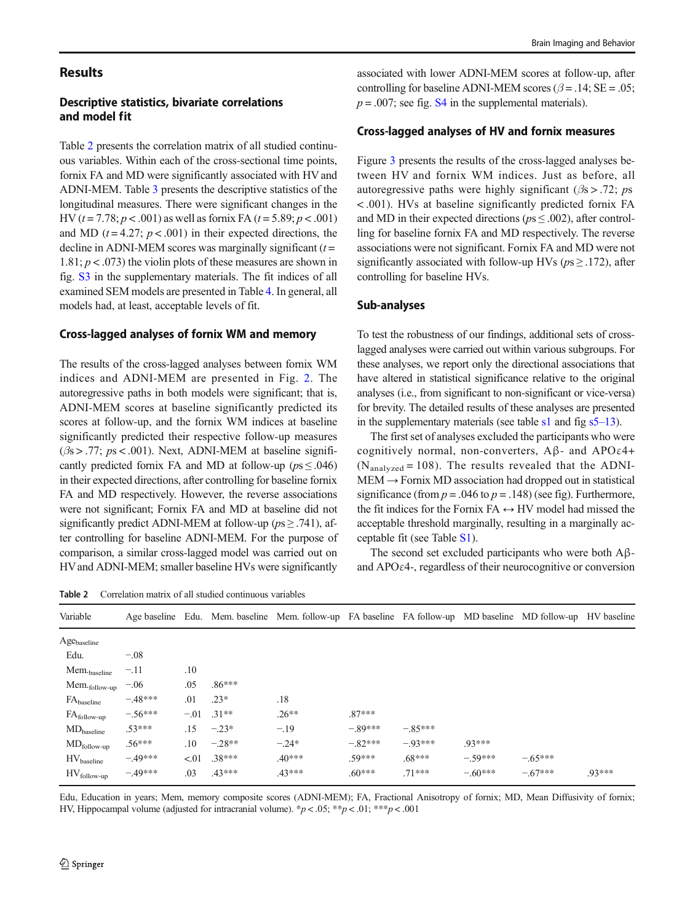## **Results**

## Descriptive statistics, bivariate correlations and model fit

Table 2 presents the correlation matrix of all studied continuous variables. Within each of the cross-sectional time points, fornix FA and MD were significantly associated with HV and ADNI-MEM. Table [3](#page-6-0) presents the descriptive statistics of the longitudinal measures. There were significant changes in the HV ( $t = 7.78$ ;  $p < .001$ ) as well as fornix FA ( $t = 5.89$ ;  $p < .001$ ) and MD ( $t = 4.27$ ;  $p < .001$ ) in their expected directions, the decline in ADNI-MEM scores was marginally significant  $(t =$  $1.81; p < .073$ ) the violin plots of these measures are shown in fig. S3 in the supplementary materials. The fit indices of all examined SEM models are presented in Table [4.](#page-6-0) In general, all models had, at least, acceptable levels of fit.

#### Cross-lagged analyses of fornix WM and memory

The results of the cross-lagged analyses between fornix WM indices and ADNI-MEM are presented in Fig. [2.](#page-7-0) The autoregressive paths in both models were significant; that is, ADNI-MEM scores at baseline significantly predicted its scores at follow-up, and the fornix WM indices at baseline significantly predicted their respective follow-up measures  $(\beta s > .77; \, ps < .001)$ . Next, ADNI-MEM at baseline significantly predicted fornix FA and MD at follow-up ( $ps \leq .046$ ) in their expected directions, after controlling for baseline fornix FA and MD respectively. However, the reverse associations were not significant; Fornix FA and MD at baseline did not significantly predict ADNI-MEM at follow-up ( $ps \geq .741$ ), after controlling for baseline ADNI-MEM. For the purpose of comparison, a similar cross-lagged model was carried out on HVand ADNI-MEM; smaller baseline HVs were significantly

Table 2 Correlation matrix of all studied continuous variables

associated with lower ADNI-MEM scores at follow-up, after controlling for baseline ADNI-MEM scores ( $\beta$  = .14; SE = .05;  $p = .007$ ; see fig. S4 in the supplemental materials).

#### Cross-lagged analyses of HV and fornix measures

Figure [3](#page-8-0) presents the results of the cross-lagged analyses between HV and fornix WM indices. Just as before, all autoregressive paths were highly significant ( $\beta$ s > .72; ps < .001). HVs at baseline significantly predicted fornix FA and MD in their expected directions ( $ps \leq .002$ ), after controlling for baseline fornix FA and MD respectively. The reverse associations were not significant. Fornix FA and MD were not significantly associated with follow-up HVs ( $ps \geq 0.172$ ), after controlling for baseline HVs.

#### Sub-analyses

To test the robustness of our findings, additional sets of crosslagged analyses were carried out within various subgroups. For these analyses, we report only the directional associations that have altered in statistical significance relative to the original analyses (i.e., from significant to non-significant or vice-versa) for brevity. The detailed results of these analyses are presented in the supplementary materials (see table  $s1$  and fig  $s5-13$ ).

The first set of analyses excluded the participants who were cognitively normal, non-converters, Aβ- and APOε4+  $(N_{analyzed} = 108)$ . The results revealed that the ADNI- $MEM \rightarrow Fornix MD$  association had dropped out in statistical significance (from  $p = .046$  to  $p = .148$ ) (see fig). Furthermore, the fit indices for the Fornix FA  $\leftrightarrow$  HV model had missed the acceptable threshold marginally, resulting in a marginally acceptable fit (see Table S1).

The second set excluded participants who were both  $A\beta$ and APOε4-, regardless of their neurocognitive or conversion

| Variable                         |           |        |          | Age baseline Edu. Mem. baseline Mem. follow-up FA baseline FA follow-up MD baseline MD follow-up HV baseline |           |           |           |           |         |
|----------------------------------|-----------|--------|----------|--------------------------------------------------------------------------------------------------------------|-----------|-----------|-----------|-----------|---------|
| $\mathrm{Age}_\mathrm{baseline}$ |           |        |          |                                                                                                              |           |           |           |           |         |
| Edu.                             | $-.08$    |        |          |                                                                                                              |           |           |           |           |         |
| Mem. <sub>baseline</sub>         | $-.11$    | .10    |          |                                                                                                              |           |           |           |           |         |
| Mem.follow-up                    | $-.06$    | .05    | $.86***$ |                                                                                                              |           |           |           |           |         |
| $FA_{baseline}$                  | $-.48***$ | .01    | $.23*$   | .18                                                                                                          |           |           |           |           |         |
| $FA$ <sub>follow-up</sub>        | $-.56***$ | $-.01$ | $.31**$  | $.26**$                                                                                                      | $.87***$  |           |           |           |         |
| $MD_{baseline}$                  | $.53***$  | .15    | $-.23*$  | $-.19$                                                                                                       | $-.89***$ | $-.85***$ |           |           |         |
| $MD_{\text{follow-up}}$          | $.56***$  | .10    | $-.28**$ | $-.24*$                                                                                                      | $-.82***$ | $-93***$  | $93***$   |           |         |
| $HV_{baseline}$                  | $-.49***$ | < 01   | $.38***$ | $.40***$                                                                                                     | $.59***$  | $.68***$  | $-.59***$ | $-.65***$ |         |
| $HV_{\text{follow-up}}$          | $-49***$  | .03    | $.43***$ | 43***                                                                                                        | $.60***$  | $71***$   | $-.60***$ | $-.67***$ | $93***$ |

Edu, Education in years; Mem, memory composite scores (ADNI-MEM); FA, Fractional Anisotropy of fornix; MD, Mean Diffusivity of fornix; HV, Hippocampal volume (adjusted for intracranial volume).  $\sp{*}p < .05$ ;  $\sp{*} \sp{*}p < .01$ ;  $\sp{*} \sp{*} \sp{*}p < .001$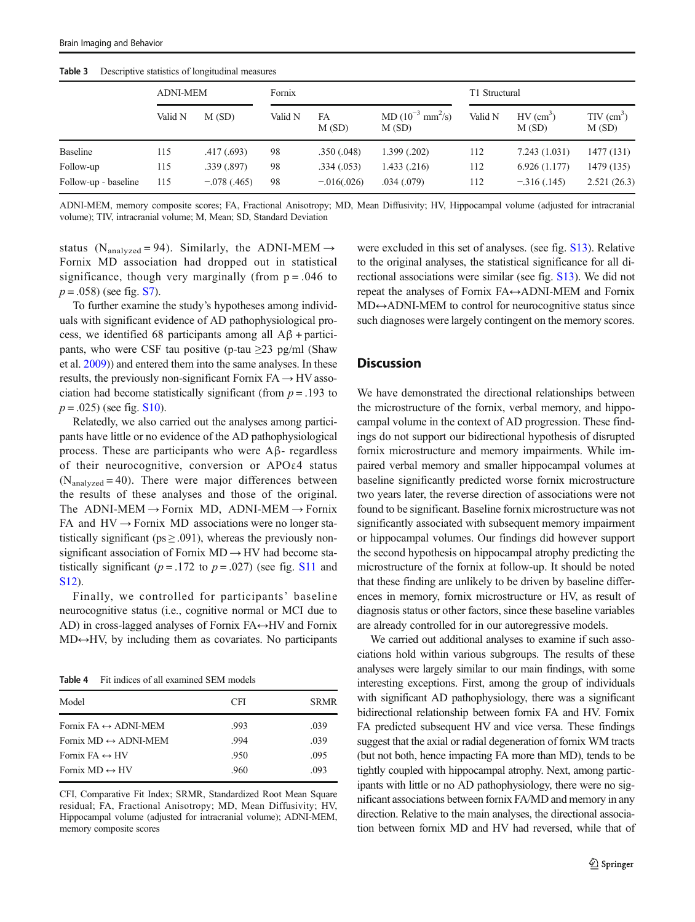|                      | <b>ADNI-MEM</b> |                 | Fornix  |               |                                            | T1 Structural |                                  |                                   |
|----------------------|-----------------|-----------------|---------|---------------|--------------------------------------------|---------------|----------------------------------|-----------------------------------|
|                      | Valid N         | M(SD)           | Valid N | FA<br>M(SD)   | MD $(10^{-3}$ mm <sup>2</sup> /s)<br>M(SD) | Valid N       | $HV$ (cm <sup>3</sup> )<br>M(SD) | $TIV$ (cm <sup>3</sup> )<br>M(SD) |
| <b>Baseline</b>      | 115             | .417(.693)      | 98      | .350(.048)    | 1.399(.202)                                | 112           | 7.243(1.031)                     | 1477 (131)                        |
| Follow-up            | 115             | .339(.897)      | 98      | .334(.053)    | 1.433(.216)                                | 112           | 6.926(1.177)                     | 1479 (135)                        |
| Follow-up - baseline | 115             | $-0.078(0.465)$ | 98      | $-.016(.026)$ | .034(.079)                                 | 112           | $-316(.145)$                     | 2.521(26.3)                       |

<span id="page-6-0"></span>Table 3 Descriptive statistics of longitudinal measures

ADNI-MEM, memory composite scores; FA, Fractional Anisotropy; MD, Mean Diffusivity; HV, Hippocampal volume (adjusted for intracranial volume); TIV, intracranial volume; M, Mean; SD, Standard Deviation

status (N<sub>analyzed</sub> = 94). Similarly, the ADNI-MEM  $\rightarrow$ Fornix MD association had dropped out in statistical significance, though very marginally (from  $p = .046$  to  $p = .058$ ) (see fig. S7).

To further examine the study's hypotheses among individuals with significant evidence of AD pathophysiological process, we identified 68 participants among all  $A\beta$  + participants, who were CSF tau positive (p-tau  $\geq$ 23 pg/ml (Shaw et al. [2009](#page-10-0))) and entered them into the same analyses. In these results, the previously non-significant Fornix  $FA \rightarrow HV$  association had become statistically significant (from  $p = .193$  to  $p = .025$ ) (see fig. S10).

Relatedly, we also carried out the analyses among participants have little or no evidence of the AD pathophysiological process. These are participants who were Aβ- regardless of their neurocognitive, conversion or APOε4 status  $(N_{analyzed} = 40)$ . There were major differences between the results of these analyses and those of the original. The ADNI-MEM  $\rightarrow$  Fornix MD, ADNI-MEM  $\rightarrow$  Fornix FA and  $HV \rightarrow$  Fornix MD associations were no longer statistically significant ( $ps \geq .091$ ), whereas the previously nonsignificant association of Fornix MD → HV had become statistically significant ( $p = .172$  to  $p = .027$ ) (see fig. S11 and S12).

Finally, we controlled for participants' baseline neurocognitive status (i.e., cognitive normal or MCI due to AD) in cross-lagged analyses of Fornix  $FA \leftrightarrow HV$  and Fornix MD↔HV, by including them as covariates. No participants

Table 4 Fit indices of all examined SEM models

| Model                                | <b>CFI</b> | <b>SRMR</b> |
|--------------------------------------|------------|-------------|
| Fornix FA $\leftrightarrow$ ADNI-MEM | .993       | .039        |
| Fornix MD $\leftrightarrow$ ADNI-MEM | .994       | .039        |
| Fornix $FA \leftrightarrow HV$       | .950       | .095        |
| Fornix $MD \leftrightarrow HV$       | .960       | .093        |
|                                      |            |             |

CFI, Comparative Fit Index; SRMR, Standardized Root Mean Square residual; FA, Fractional Anisotropy; MD, Mean Diffusivity; HV, Hippocampal volume (adjusted for intracranial volume); ADNI-MEM, memory composite scores

were excluded in this set of analyses. (see fig. S13). Relative to the original analyses, the statistical significance for all directional associations were similar (see fig. S13). We did not repeat the analyses of Fornix FA↔ADNI-MEM and Fornix MD↔ADNI-MEM to control for neurocognitive status since such diagnoses were largely contingent on the memory scores.

# **Discussion**

We have demonstrated the directional relationships between the microstructure of the fornix, verbal memory, and hippocampal volume in the context of AD progression. These findings do not support our bidirectional hypothesis of disrupted fornix microstructure and memory impairments. While impaired verbal memory and smaller hippocampal volumes at baseline significantly predicted worse fornix microstructure two years later, the reverse direction of associations were not found to be significant. Baseline fornix microstructure was not significantly associated with subsequent memory impairment or hippocampal volumes. Our findings did however support the second hypothesis on hippocampal atrophy predicting the microstructure of the fornix at follow-up. It should be noted that these finding are unlikely to be driven by baseline differences in memory, fornix microstructure or HV, as result of diagnosis status or other factors, since these baseline variables are already controlled for in our autoregressive models.

We carried out additional analyses to examine if such associations hold within various subgroups. The results of these analyses were largely similar to our main findings, with some interesting exceptions. First, among the group of individuals with significant AD pathophysiology, there was a significant bidirectional relationship between fornix FA and HV. Fornix FA predicted subsequent HV and vice versa. These findings suggest that the axial or radial degeneration of fornix WM tracts (but not both, hence impacting FA more than MD), tends to be tightly coupled with hippocampal atrophy. Next, among participants with little or no AD pathophysiology, there were no significant associations between fornix FA/MD and memory in any direction. Relative to the main analyses, the directional association between fornix MD and HV had reversed, while that of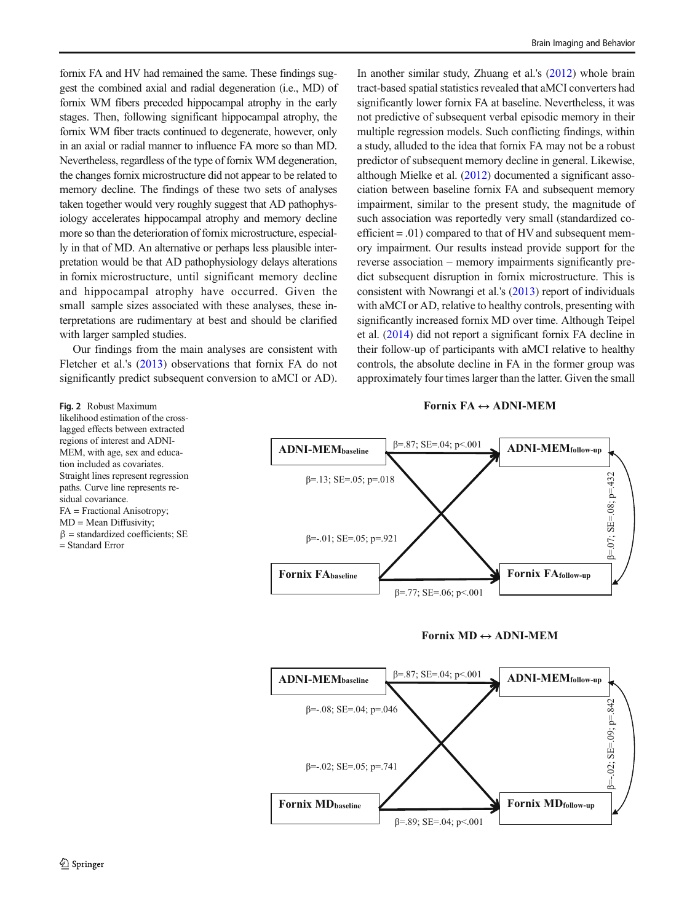<span id="page-7-0"></span>fornix FA and HV had remained the same. These findings suggest the combined axial and radial degeneration (i.e., MD) of fornix WM fibers preceded hippocampal atrophy in the early stages. Then, following significant hippocampal atrophy, the fornix WM fiber tracts continued to degenerate, however, only in an axial or radial manner to influence FA more so than MD. Nevertheless, regardless of the type of fornix WM degeneration, the changes fornix microstructure did not appear to be related to memory decline. The findings of these two sets of analyses taken together would very roughly suggest that AD pathophysiology accelerates hippocampal atrophy and memory decline more so than the deterioration of fornix microstructure, especially in that of MD. An alternative or perhaps less plausible interpretation would be that AD pathophysiology delays alterations in fornix microstructure, until significant memory decline and hippocampal atrophy have occurred. Given the small sample sizes associated with these analyses, these interpretations are rudimentary at best and should be clarified with larger sampled studies.

Our findings from the main analyses are consistent with Fletcher et al.'s ([2013\)](#page-10-0) observations that fornix FA do not significantly predict subsequent conversion to aMCI or AD).

In another similar study, Zhuang et al.'s [\(2012\)](#page-11-0) whole brain tract-based spatial statistics revealed that aMCI converters had significantly lower fornix FA at baseline. Nevertheless, it was not predictive of subsequent verbal episodic memory in their multiple regression models. Such conflicting findings, within a study, alluded to the idea that fornix FA may not be a robust predictor of subsequent memory decline in general. Likewise, although Mielke et al. [\(2012\)](#page-10-0) documented a significant association between baseline fornix FA and subsequent memory impairment, similar to the present study, the magnitude of such association was reportedly very small (standardized coefficient  $= .01$ ) compared to that of HV and subsequent memory impairment. Our results instead provide support for the reverse association – memory impairments significantly predict subsequent disruption in fornix microstructure. This is consistent with Nowrangi et al.'s [\(2013\)](#page-10-0) report of individuals with aMCI or AD, relative to healthy controls, presenting with significantly increased fornix MD over time. Although Teipel et al. [\(2014\)](#page-10-0) did not report a significant fornix FA decline in their follow-up of participants with aMCI relative to healthy controls, the absolute decline in FA in the former group was approximately four times larger than the latter. Given the small

#### **Fornix FA ADNI-MEM**







Fig. 2 Robust Maximum likelihood estimation of the crosslagged effects between extracted regions of interest and ADNI-MEM, with age, sex and education included as covariates. Straight lines represent regression paths. Curve line represents residual covariance. FA = Fractional Anisotropy; MD = Mean Diffusivity;  $β = standardized coefficients; SE$ = Standard Error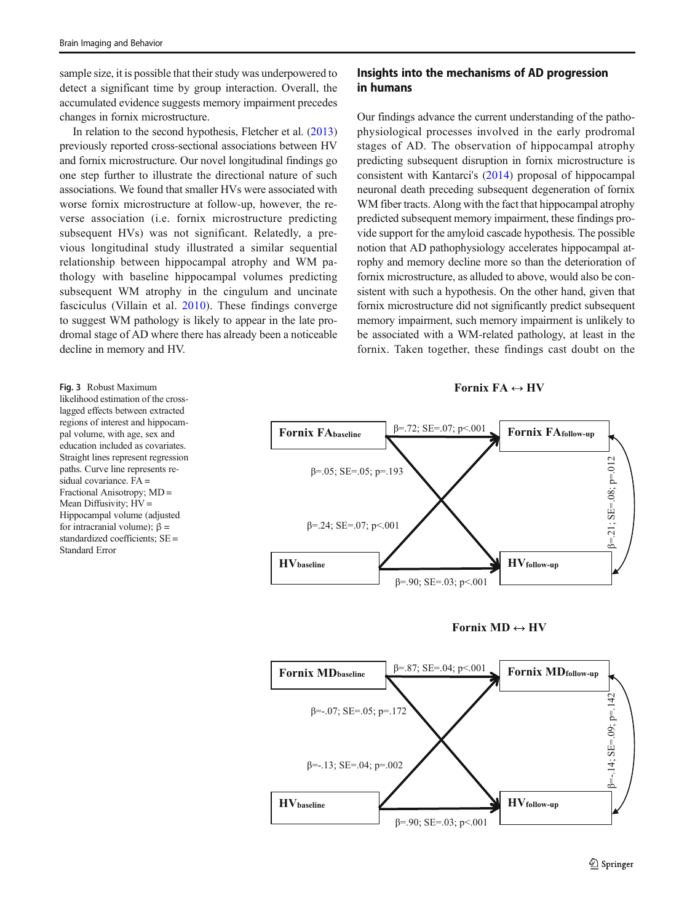<span id="page-8-0"></span>sample size, it is possible that their study was underpowered to detect a significant time by group interaction. Overall, the accumulated evidence suggests memory impairment precedes changes in fornix microstructure.

In relation to the second hypothesis, Fletcher et al. [\(2013\)](#page-10-0) previously reported cross-sectional associations between HV and fornix microstructure. Our novel longitudinal findings go one step further to illustrate the directional nature of such associations. We found that smaller HVs were associated with worse fornix microstructure at follow-up, however, the reverse association (i.e. fornix microstructure predicting subsequent HVs) was not significant. Relatedly, a previous longitudinal study illustrated a similar sequential relationship between hippocampal atrophy and WM pathology with baseline hippocampal volumes predicting subsequent WM atrophy in the cingulum and uncinate fasciculus (Villain et al. [2010](#page-10-0)). These findings converge to suggest WM pathology is likely to appear in the late prodromal stage of AD where there has already been a noticeable decline in memory and HV.

## Insights into the mechanisms of AD progression in humans

Our findings advance the current understanding of the pathophysiological processes involved in the early prodromal stages of AD. The observation of hippocampal atrophy predicting subsequent disruption in fornix microstructure is consistent with Kantarci's ([2014\)](#page-10-0) proposal of hippocampal neuronal death preceding subsequent degeneration of fornix WM fiber tracts. Along with the fact that hippocampal atrophy predicted subsequent memory impairment, these findings provide support for the amyloid cascade hypothesis. The possible notion that AD pathophysiology accelerates hippocampal atrophy and memory decline more so than the deterioration of fornix microstructure, as alluded to above, would also be consistent with such a hypothesis. On the other hand, given that fornix microstructure did not significantly predict subsequent memory impairment, such memory impairment is unlikely to be associated with a WM-related pathology, at least in the fornix. Taken together, these findings cast doubt on the









Fig. 3 Robust Maximum likelihood estimation of the crosslagged effects between extracted regions of interest and hippocampal volume, with age, sex and education included as covariates. Straight lines represent regression paths. Curve line represents residual covariance. FA = Fractional Anisotropy; MD = Mean Diffusivity; HV = Hippocampal volume (adjusted for intracranial volume); β = standardized coefficients; SE = Standard Error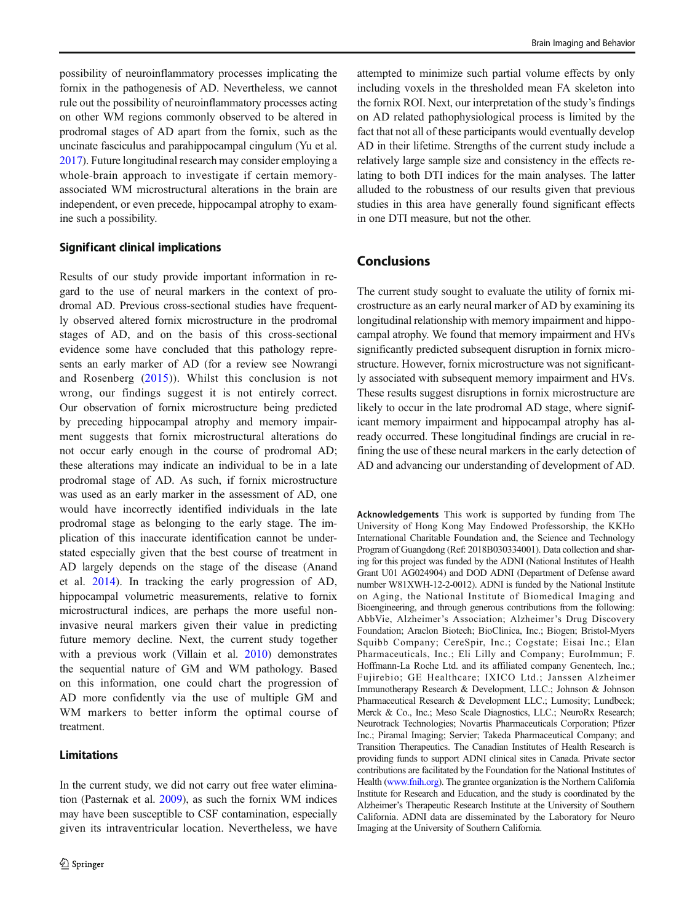possibility of neuroinflammatory processes implicating the fornix in the pathogenesis of AD. Nevertheless, we cannot rule out the possibility of neuroinflammatory processes acting on other WM regions commonly observed to be altered in prodromal stages of AD apart from the fornix, such as the uncinate fasciculus and parahippocampal cingulum (Yu et al. [2017\)](#page-11-0). Future longitudinal research may consider employing a whole-brain approach to investigate if certain memoryassociated WM microstructural alterations in the brain are independent, or even precede, hippocampal atrophy to examine such a possibility.

## Significant clinical implications

Results of our study provide important information in regard to the use of neural markers in the context of prodromal AD. Previous cross-sectional studies have frequently observed altered fornix microstructure in the prodromal stages of AD, and on the basis of this cross-sectional evidence some have concluded that this pathology represents an early marker of AD (for a review see Nowrangi and Rosenberg [\(2015\)](#page-10-0)). Whilst this conclusion is not wrong, our findings suggest it is not entirely correct. Our observation of fornix microstructure being predicted by preceding hippocampal atrophy and memory impairment suggests that fornix microstructural alterations do not occur early enough in the course of prodromal AD; these alterations may indicate an individual to be in a late prodromal stage of AD. As such, if fornix microstructure was used as an early marker in the assessment of AD, one would have incorrectly identified individuals in the late prodromal stage as belonging to the early stage. The implication of this inaccurate identification cannot be understated especially given that the best course of treatment in AD largely depends on the stage of the disease (Anand et al. [2014](#page-10-0)). In tracking the early progression of AD, hippocampal volumetric measurements, relative to fornix microstructural indices, are perhaps the more useful noninvasive neural markers given their value in predicting future memory decline. Next, the current study together with a previous work (Villain et al. [2010](#page-10-0)) demonstrates the sequential nature of GM and WM pathology. Based on this information, one could chart the progression of AD more confidently via the use of multiple GM and WM markers to better inform the optimal course of treatment.

## Limitations

In the current study, we did not carry out free water elimination (Pasternak et al. [2009](#page-10-0)), as such the fornix WM indices may have been susceptible to CSF contamination, especially given its intraventricular location. Nevertheless, we have

attempted to minimize such partial volume effects by only including voxels in the thresholded mean FA skeleton into the fornix ROI. Next, our interpretation of the study's findings on AD related pathophysiological process is limited by the fact that not all of these participants would eventually develop AD in their lifetime. Strengths of the current study include a relatively large sample size and consistency in the effects relating to both DTI indices for the main analyses. The latter alluded to the robustness of our results given that previous studies in this area have generally found significant effects in one DTI measure, but not the other.

# Conclusions

The current study sought to evaluate the utility of fornix microstructure as an early neural marker of AD by examining its longitudinal relationship with memory impairment and hippocampal atrophy. We found that memory impairment and HVs significantly predicted subsequent disruption in fornix microstructure. However, fornix microstructure was not significantly associated with subsequent memory impairment and HVs. These results suggest disruptions in fornix microstructure are likely to occur in the late prodromal AD stage, where significant memory impairment and hippocampal atrophy has already occurred. These longitudinal findings are crucial in refining the use of these neural markers in the early detection of AD and advancing our understanding of development of AD.

Acknowledgements This work is supported by funding from The University of Hong Kong May Endowed Professorship, the KKHo International Charitable Foundation and, the Science and Technology Program of Guangdong (Ref: 2018B030334001). Data collection and sharing for this project was funded by the ADNI (National Institutes of Health Grant U01 AG024904) and DOD ADNI (Department of Defense award number W81XWH-12-2-0012). ADNI is funded by the National Institute on Aging, the National Institute of Biomedical Imaging and Bioengineering, and through generous contributions from the following: AbbVie, Alzheimer's Association; Alzheimer's Drug Discovery Foundation; Araclon Biotech; BioClinica, Inc.; Biogen; Bristol-Myers Squibb Company; CereSpir, Inc.; Cogstate; Eisai Inc.; Elan Pharmaceuticals, Inc.; Eli Lilly and Company; EuroImmun; F. Hoffmann-La Roche Ltd. and its affiliated company Genentech, Inc.; Fujirebio; GE Healthcare; IXICO Ltd.; Janssen Alzheimer Immunotherapy Research & Development, LLC.; Johnson & Johnson Pharmaceutical Research & Development LLC.; Lumosity; Lundbeck; Merck & Co., Inc.; Meso Scale Diagnostics, LLC.; NeuroRx Research; Neurotrack Technologies; Novartis Pharmaceuticals Corporation; Pfizer Inc.; Piramal Imaging; Servier; Takeda Pharmaceutical Company; and Transition Therapeutics. The Canadian Institutes of Health Research is providing funds to support ADNI clinical sites in Canada. Private sector contributions are facilitated by the Foundation for the National Institutes of Health ([www.fnih.org\)](http://www.fnih.org). The grantee organization is the Northern California Institute for Research and Education, and the study is coordinated by the Alzheimer's Therapeutic Research Institute at the University of Southern California. ADNI data are disseminated by the Laboratory for Neuro Imaging at the University of Southern California.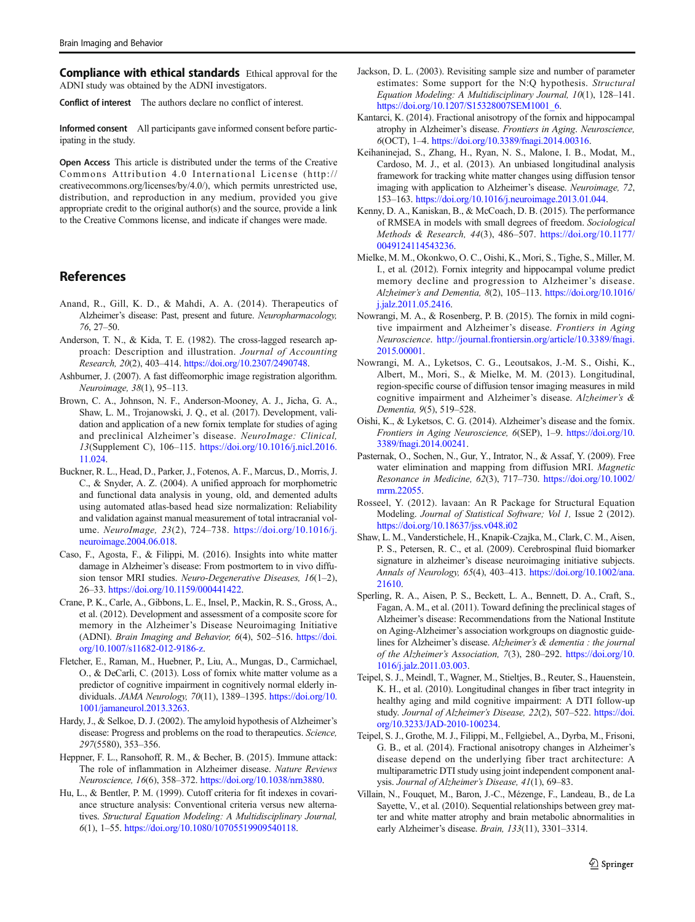<span id="page-10-0"></span>**Compliance with ethical standards** Ethical approval for the ADNI study was obtained by the ADNI investigators.

Conflict of interest The authors declare no conflict of interest.

Informed consent All participants gave informed consent before participating in the study.

Open Access This article is distributed under the terms of the Creative Commons Attribution 4.0 International License (http:// creativecommons.org/licenses/by/4.0/), which permits unrestricted use, distribution, and reproduction in any medium, provided you give appropriate credit to the original author(s) and the source, provide a link to the Creative Commons license, and indicate if changes were made.

## References

- Anand, R., Gill, K. D., & Mahdi, A. A. (2014). Therapeutics of Alzheimer's disease: Past, present and future. Neuropharmacology, 76, 27–50.
- Anderson, T. N., & Kida, T. E. (1982). The cross-lagged research approach: Description and illustration. Journal of Accounting Research, 20(2), 403–414. [https://doi.org/10.2307/2490748.](https://doi.org/10.2307/2490748)
- Ashburner, J. (2007). A fast diffeomorphic image registration algorithm. Neuroimage, 38(1), 95–113.
- Brown, C. A., Johnson, N. F., Anderson-Mooney, A. J., Jicha, G. A., Shaw, L. M., Trojanowski, J. Q., et al. (2017). Development, validation and application of a new fornix template for studies of aging and preclinical Alzheimer's disease. NeuroImage: Clinical, 13(Supplement C), 106–115. [https://doi.org/10.1016/j.nicl.2016.](https://doi.org/10.1016/j.nicl.2016.11.024) [11.024](https://doi.org/10.1016/j.nicl.2016.11.024).
- Buckner, R. L., Head, D., Parker, J., Fotenos, A. F., Marcus, D., Morris, J. C., & Snyder, A. Z. (2004). A unified approach for morphometric and functional data analysis in young, old, and demented adults using automated atlas-based head size normalization: Reliability and validation against manual measurement of total intracranial volume. NeuroImage, 23(2), 724–738. [https://doi.org/10.1016/j.](https://doi.org/10.1016/j.neuroimage.2004.06.018) [neuroimage.2004.06.018.](https://doi.org/10.1016/j.neuroimage.2004.06.018)
- Caso, F., Agosta, F., & Filippi, M. (2016). Insights into white matter damage in Alzheimer's disease: From postmortem to in vivo diffusion tensor MRI studies. Neuro-Degenerative Diseases, 16(1–2), 26–33. [https://doi.org/10.1159/000441422.](https://doi.org/10.1159/000441422)
- Crane, P. K., Carle, A., Gibbons, L. E., Insel, P., Mackin, R. S., Gross, A., et al. (2012). Development and assessment of a composite score for memory in the Alzheimer's Disease Neuroimaging Initiative (ADNI). Brain Imaging and Behavior, 6(4), 502–516. [https://doi.](https://doi.org/10.1007/s11682-012-9186-z) [org/10.1007/s11682-012-9186-z](https://doi.org/10.1007/s11682-012-9186-z).
- Fletcher, E., Raman, M., Huebner, P., Liu, A., Mungas, D., Carmichael, O., & DeCarli, C. (2013). Loss of fornix white matter volume as a predictor of cognitive impairment in cognitively normal elderly individuals. JAMA Neurology, 70(11), 1389–1395. [https://doi.org/10.](https://doi.org/10.1001/jamaneurol.2013.3263) [1001/jamaneurol.2013.3263](https://doi.org/10.1001/jamaneurol.2013.3263).
- Hardy, J., & Selkoe, D. J. (2002). The amyloid hypothesis of Alzheimer's disease: Progress and problems on the road to therapeutics. Science, 297(5580), 353–356.
- Heppner, F. L., Ransohoff, R. M., & Becher, B. (2015). Immune attack: The role of inflammation in Alzheimer disease. Nature Reviews Neuroscience, 16(6), 358–372. <https://doi.org/10.1038/nrn3880>.
- Hu, L., & Bentler, P. M. (1999). Cutoff criteria for fit indexes in covariance structure analysis: Conventional criteria versus new alternatives. Structural Equation Modeling: A Multidisciplinary Journal, 6(1), 1–55. [https://doi.org/10.1080/10705519909540118.](https://doi.org/10.1080/10705519909540118)
- Jackson, D. L. (2003). Revisiting sample size and number of parameter estimates: Some support for the N:Q hypothesis. Structural Equation Modeling: A Multidisciplinary Journal, 10(1), 128–141. [https://doi.org/10.1207/S15328007SEM1001\\_6](https://doi.org/10.1207/S15328007SEM1001_6).
- Kantarci, K. (2014). Fractional anisotropy of the fornix and hippocampal atrophy in Alzheimer's disease. Frontiers in Aging. Neuroscience, 6(OCT), 1–4. [https://doi.org/10.3389/fnagi.2014.00316.](https://doi.org/10.3389/fnagi.2014.00316)
- Keihaninejad, S., Zhang, H., Ryan, N. S., Malone, I. B., Modat, M., Cardoso, M. J., et al. (2013). An unbiased longitudinal analysis framework for tracking white matter changes using diffusion tensor imaging with application to Alzheimer's disease. Neuroimage, 72, 153–163. <https://doi.org/10.1016/j.neuroimage.2013.01.044>.
- Kenny, D. A., Kaniskan, B., & McCoach, D. B. (2015). The performance of RMSEA in models with small degrees of freedom. Sociological Methods & Research, 44(3), 486–507. [https://doi.org/10.1177/](https://doi.org/10.1177/0049124114543236) [0049124114543236.](https://doi.org/10.1177/0049124114543236)
- Mielke, M. M., Okonkwo, O. C., Oishi, K., Mori, S., Tighe, S., Miller, M. I., et al. (2012). Fornix integrity and hippocampal volume predict memory decline and progression to Alzheimer's disease. Alzheimer's and Dementia, 8(2), 105–113. [https://doi.org/10.1016/](https://doi.org/10.1016/j.jalz.2011.05.2416) [j.jalz.2011.05.2416](https://doi.org/10.1016/j.jalz.2011.05.2416).
- Nowrangi, M. A., & Rosenberg, P. B. (2015). The fornix in mild cognitive impairment and Alzheimer's disease. Frontiers in Aging Neuroscience. [http://journal.frontiersin.org/article/10.3389/fnagi.](http://journal.frontiersin.org/article/10.3389/fnagi.2015.00001) [2015.00001](http://journal.frontiersin.org/article/10.3389/fnagi.2015.00001).
- Nowrangi, M. A., Lyketsos, C. G., Leoutsakos, J.-M. S., Oishi, K., Albert, M., Mori, S., & Mielke, M. M. (2013). Longitudinal, region-specific course of diffusion tensor imaging measures in mild cognitive impairment and Alzheimer's disease. Alzheimer's & Dementia, 9(5), 519–528.
- Oishi, K., & Lyketsos, C. G. (2014). Alzheimer's disease and the fornix. Frontiers in Aging Neuroscience, 6(SEP), 1–9. [https://doi.org/10.](https://doi.org/10.3389/fnagi.2014.00241) [3389/fnagi.2014.00241.](https://doi.org/10.3389/fnagi.2014.00241)
- Pasternak, O., Sochen, N., Gur, Y., Intrator, N., & Assaf, Y. (2009). Free water elimination and mapping from diffusion MRI. Magnetic Resonance in Medicine, 62(3), 717–730. [https://doi.org/10.1002/](https://doi.org/10.1002/mrm.22055) [mrm.22055](https://doi.org/10.1002/mrm.22055).
- Rosseel, Y. (2012). lavaan: An R Package for Structural Equation Modeling. Journal of Statistical Software; Vol 1, Issue 2 (2012). <https://doi.org/10.18637/jss.v048.i02>
- Shaw, L. M., Vanderstichele, H., Knapik-Czajka, M., Clark, C. M., Aisen, P. S., Petersen, R. C., et al. (2009). Cerebrospinal fluid biomarker signature in alzheimer's disease neuroimaging initiative subjects. Annals of Neurology, 65(4), 403–413. [https://doi.org/10.1002/ana.](https://doi.org/10.1002/ana.21610) [21610.](https://doi.org/10.1002/ana.21610)
- Sperling, R. A., Aisen, P. S., Beckett, L. A., Bennett, D. A., Craft, S., Fagan, A. M., et al. (2011). Toward defining the preclinical stages of Alzheimer's disease: Recommendations from the National Institute on Aging-Alzheimer's association workgroups on diagnostic guidelines for Alzheimer's disease. Alzheimer's & dementia : the journal of the Alzheimer's Association, 7(3), 280–292. [https://doi.org/10.](https://doi.org/10.1016/j.jalz.2011.03.003) [1016/j.jalz.2011.03.003.](https://doi.org/10.1016/j.jalz.2011.03.003)
- Teipel, S. J., Meindl, T., Wagner, M., Stieltjes, B., Reuter, S., Hauenstein, K. H., et al. (2010). Longitudinal changes in fiber tract integrity in healthy aging and mild cognitive impairment: A DTI follow-up study. Journal of Alzheimer's Disease, 22(2), 507–522. [https://doi.](https://doi.org/10.3233/JAD-2010-100234) [org/10.3233/JAD-2010-100234.](https://doi.org/10.3233/JAD-2010-100234)
- Teipel, S. J., Grothe, M. J., Filippi, M., Fellgiebel, A., Dyrba, M., Frisoni, G. B., et al. (2014). Fractional anisotropy changes in Alzheimer's disease depend on the underlying fiber tract architecture: A multiparametric DTI study using joint independent component analysis. Journal of Alzheimer's Disease, 41(1), 69–83.
- Villain, N., Fouquet, M., Baron, J.-C., Mézenge, F., Landeau, B., de La Sayette, V., et al. (2010). Sequential relationships between grey matter and white matter atrophy and brain metabolic abnormalities in early Alzheimer's disease. Brain, 133(11), 3301-3314.